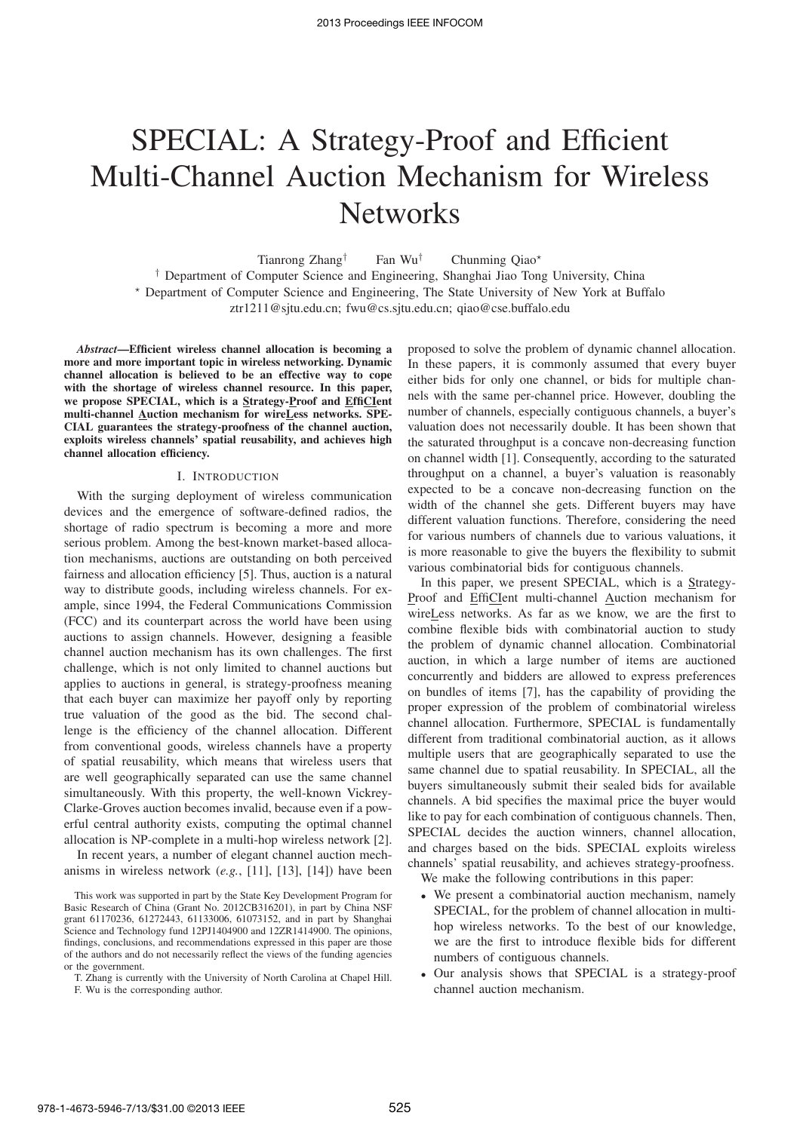# SPECIAL: A Strategy-Proof and Efficient Multi-Channel Auction Mechanism for Wireless **Networks**

Tianrong Zhang<sup>†</sup> Fan Wu<sup>†</sup> Chunming Qiao<sup>\*</sup> † Department of Computer Science and Engineering, Shanghai Jiao Tong University, China <sup>⋆</sup> Department of Computer Science and Engineering, The State University of New York at Buffalo ztr1211@sjtu.edu.cn; fwu@cs.sjtu.edu.cn; qiao@cse.buffalo.edu

*Abstract*—Efficient wireless channel allocation is becoming a more and more important topic in wireless networking. Dynamic channel allocation is believed to be an effective way to cope with the shortage of wireless channel resource. In this paper, we propose SPECIAL, which is a Strategy-Proof and EffiCIent multi-channel Auction mechanism for wireLess networks. SPE-CIAL guarantees the strategy-proofness of the channel auction, exploits wireless channels' spatial reusability, and achieves high channel allocation efficiency.

### I. INTRODUCTION

With the surging deployment of wireless communication devices and the emergence of software-defined radios, the shortage of radio spectrum is becoming a more and more serious problem. Among the best-known market-based allocation mechanisms, auctions are outstanding on both perceived fairness and allocation efficiency [5]. Thus, auction is a natural way to distribute goods, including wireless channels. For example, since 1994, the Federal Communications Commission (FCC) and its counterpart across the world have been using auctions to assign channels. However, designing a feasible channel auction mechanism has its own challenges. The first challenge, which is not only limited to channel auctions but applies to auctions in general, is strategy-proofness meaning that each buyer can maximize her payoff only by reporting true valuation of the good as the bid. The second challenge is the efficiency of the channel allocation. Different from conventional goods, wireless channels have a property of spatial reusability, which means that wireless users that are well geographically separated can use the same channel simultaneously. With this property, the well-known Vickrey-Clarke-Groves auction becomes invalid, because even if a powerful central authority exists, computing the optimal channel allocation is NP-complete in a multi-hop wireless network [2].

In recent years, a number of elegant channel auction mechanisms in wireless network (*e.g.*, [11], [13], [14]) have been proposed to solve the problem of dynamic channel allocation. In these papers, it is commonly assumed that every buyer either bids for only one channel, or bids for multiple channels with the same per-channel price. However, doubling the number of channels, especially contiguous channels, a buyer's valuation does not necessarily double. It has been shown that the saturated throughput is a concave non-decreasing function on channel width [1]. Consequently, according to the saturated throughput on a channel, a buyer's valuation is reasonably expected to be a concave non-decreasing function on the width of the channel she gets. Different buyers may have different valuation functions. Therefore, considering the need for various numbers of channels due to various valuations, it is more reasonable to give the buyers the flexibility to submit various combinatorial bids for contiguous channels.

In this paper, we present SPECIAL, which is a Strategy-Proof and EffiCIent multi-channel Auction mechanism for wireLess networks. As far as we know, we are the first to combine flexible bids with combinatorial auction to study the problem of dynamic channel allocation. Combinatorial auction, in which a large number of items are auctioned concurrently and bidders are allowed to express preferences on bundles of items [7], has the capability of providing the proper expression of the problem of combinatorial wireless channel allocation. Furthermore, SPECIAL is fundamentally different from traditional combinatorial auction, as it allows multiple users that are geographically separated to use the same channel due to spatial reusability. In SPECIAL, all the buyers simultaneously submit their sealed bids for available channels. A bid specifies the maximal price the buyer would like to pay for each combination of contiguous channels. Then, SPECIAL decides the auction winners, channel allocation, and charges based on the bids. SPECIAL exploits wireless channels' spatial reusability, and achieves strategy-proofness. We make the following contributions in this paper:

- We present a combinatorial auction mechanism, namely SPECIAL, for the problem of channel allocation in multihop wireless networks. To the best of our knowledge, we are the first to introduce flexible bids for different numbers of contiguous channels.
- Our analysis shows that SPECIAL is a strategy-proof channel auction mechanism.

This work was supported in part by the State Key Development Program for Basic Research of China (Grant No. 2012CB316201), in part by China NSF grant 61170236, 61272443, 61133006, 61073152, and in part by Shanghai Science and Technology fund 12PJ1404900 and 12ZR1414900. The opinions, findings, conclusions, and recommendations expressed in this paper are those of the authors and do not necessarily reflect the views of the funding agencies or the government.

T. Zhang is currently with the University of North Carolina at Chapel Hill. F. Wu is the corresponding author.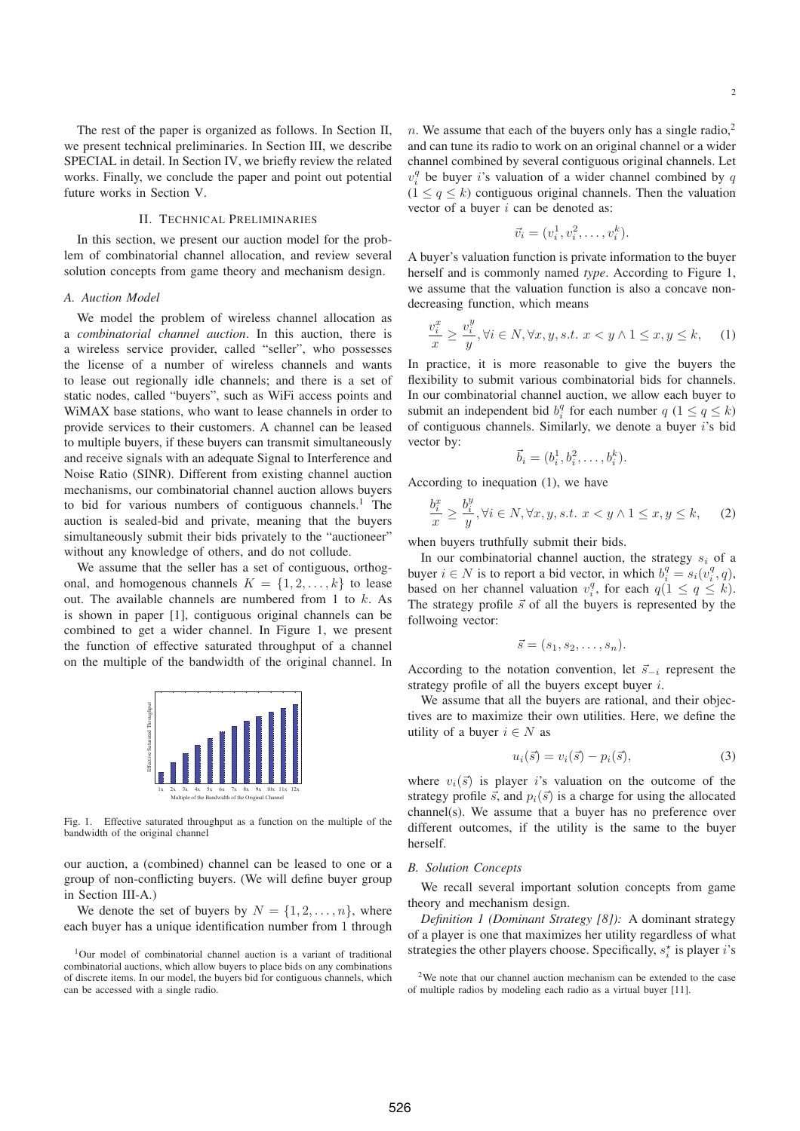The rest of the paper is organized as follows. In Section II, we present technical preliminaries. In Section III, we describe SPECIAL in detail. In Section IV, we briefly review the related works. Finally, we conclude the paper and point out potential future works in Section V.

## II. TECHNICAL PRELIMINARIES

In this section, we present our auction model for the problem of combinatorial channel allocation, and review several solution concepts from game theory and mechanism design.

#### *A. Auction Model*

We model the problem of wireless channel allocation as a *combinatorial channel auction*. In this auction, there is a wireless service provider, called "seller", who possesses the license of a number of wireless channels and wants to lease out regionally idle channels; and there is a set of static nodes, called "buyers", such as WiFi access points and WiMAX base stations, who want to lease channels in order to provide services to their customers. A channel can be leased to multiple buyers, if these buyers can transmit simultaneously and receive signals with an adequate Signal to Interference and Noise Ratio (SINR). Different from existing channel auction mechanisms, our combinatorial channel auction allows buyers to bid for various numbers of contiguous channels.<sup>1</sup> The auction is sealed-bid and private, meaning that the buyers simultaneously submit their bids privately to the "auctioneer" without any knowledge of others, and do not collude.

We assume that the seller has a set of contiguous, orthogonal, and homogenous channels  $K = \{1, 2, \ldots, k\}$  to lease out. The available channels are numbered from 1 to k. As is shown in paper [1], contiguous original channels can be combined to get a wider channel. In Figure 1, we present the function of effective saturated throughput of a channel on the multiple of the bandwidth of the original channel. In



Fig. 1. Effective saturated throughput as a function on the multiple of the bandwidth of the original channel

our auction, a (combined) channel can be leased to one or a group of non-conflicting buyers. (We will define buyer group in Section III-A.)

We denote the set of buyers by  $N = \{1, 2, \ldots, n\}$ , where each buyer has a unique identification number from 1 through

<sup>1</sup>Our model of combinatorial channel auction is a variant of traditional combinatorial auctions, which allow buyers to place bids on any combinations of discrete items. In our model, the buyers bid for contiguous channels, which can be accessed with a single radio.

n. We assume that each of the buyers only has a single radio,<sup>2</sup> and can tune its radio to work on an original channel or a wider channel combined by several contiguous original channels. Let  $v_i^q$  be buyer i's valuation of a wider channel combined by q  $(1 \leq q \leq k)$  contiguous original channels. Then the valuation vector of a buyer  $i$  can be denoted as:

$$
\vec{v}_i = (v_i^1, v_i^2, \dots, v_i^k).
$$

A buyer's valuation function is private information to the buyer herself and is commonly named *type*. According to Figure 1, we assume that the valuation function is also a concave nondecreasing function, which means

$$
\frac{v_i^x}{x} \ge \frac{v_i^y}{y}, \forall i \in N, \forall x, y, s.t. \ x < y \land 1 \le x, y \le k,
$$
 (1)

In practice, it is more reasonable to give the buyers the flexibility to submit various combinatorial bids for channels. In our combinatorial channel auction, we allow each buyer to submit an independent bid  $b_i^q$  for each number  $q$   $(1 \leq q \leq k)$ of contiguous channels. Similarly, we denote a buyer  $i$ 's bid vector by:

$$
\vec{b}_i = (b_i^1, b_i^2, \dots, b_i^k).
$$

According to inequation (1), we have

$$
\frac{b_i^x}{x} \ge \frac{b_i^y}{y}, \forall i \in N, \forall x, y, s.t. \ x < y \land 1 \le x, y \le k,
$$
 (2)

when buyers truthfully submit their bids.

In our combinatorial channel auction, the strategy  $s_i$  of a buyer  $i \in N$  is to report a bid vector, in which  $b_i^q = s_i(v_i^q, q)$ , based on her channel valuation  $v_i^q$ , for each  $q(1 \le q \le k)$ . The strategy profile  $\vec{s}$  of all the buyers is represented by the follwoing vector:

$$
\vec{s}=(s_1,s_2,\ldots,s_n).
$$

According to the notation convention, let  $\vec{s}_{-i}$  represent the strategy profile of all the buyers except buyer  $i$ .

We assume that all the buyers are rational, and their objectives are to maximize their own utilities. Here, we define the utility of a buyer  $i \in N$  as

$$
u_i(\vec{s}) = v_i(\vec{s}) - p_i(\vec{s}), \tag{3}
$$

where  $v_i(\vec{s})$  is player i's valuation on the outcome of the strategy profile  $\vec{s}$ , and  $p_i(\vec{s})$  is a charge for using the allocated channel(s). We assume that a buyer has no preference over different outcomes, if the utility is the same to the buyer herself.

#### *B. Solution Concepts*

We recall several important solution concepts from game theory and mechanism design.

*Definition 1 (Dominant Strategy [8]):* A dominant strategy of a player is one that maximizes her utility regardless of what strategies the other players choose. Specifically,  $s_i^*$  is player *i*'s

 $2$ We note that our channel auction mechanism can be extended to the case of multiple radios by modeling each radio as a virtual buyer [11].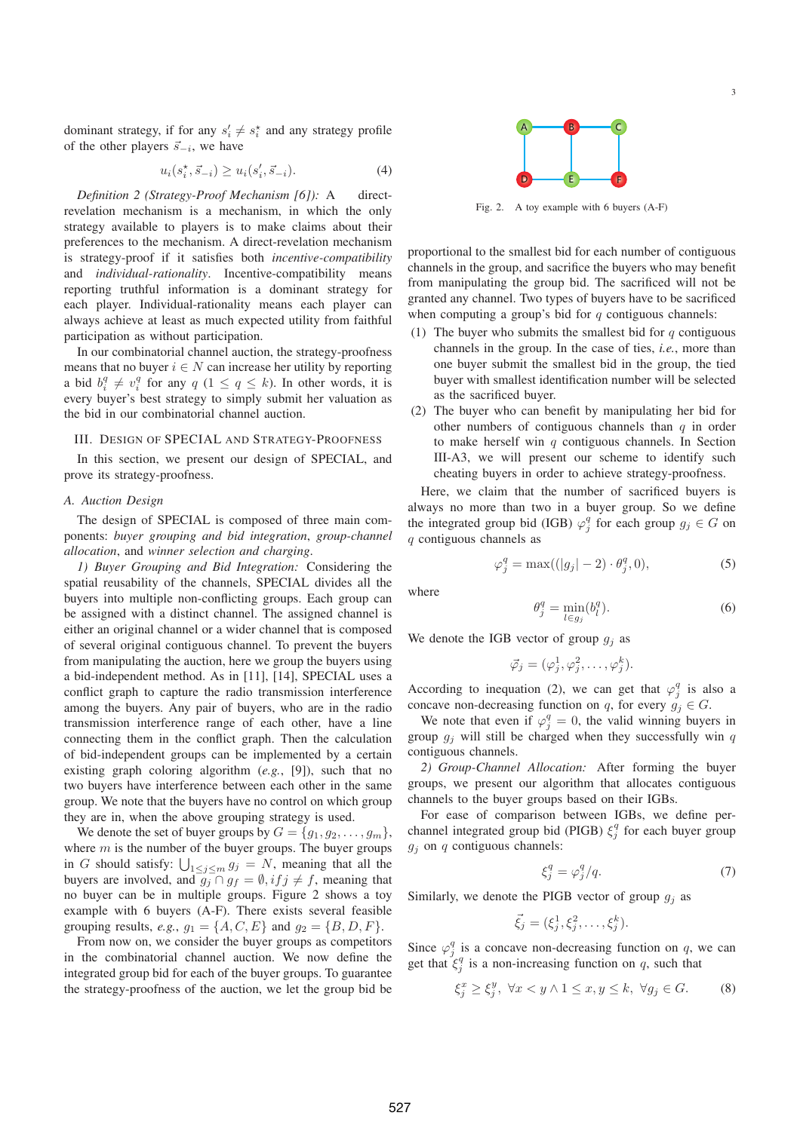dominant strategy, if for any  $s'_i \neq s_i^*$  and any strategy profile of the other players  $\vec{s}_{-i}$ , we have

$$
u_i(s_i^*, \vec{s}_{-i}) \ge u_i(s_i', \vec{s}_{-i}). \tag{4}
$$

*Definition 2 (Strategy-Proof Mechanism [6]):* A directrevelation mechanism is a mechanism, in which the only strategy available to players is to make claims about their preferences to the mechanism. A direct-revelation mechanism is strategy-proof if it satisfies both *incentive-compatibility* and *individual-rationality*. Incentive-compatibility means reporting truthful information is a dominant strategy for each player. Individual-rationality means each player can always achieve at least as much expected utility from faithful participation as without participation.

In our combinatorial channel auction, the strategy-proofness means that no buyer  $i \in N$  can increase her utility by reporting a bid  $b_i^q \neq v_i^q$  for any  $q$   $(1 \leq q \leq k)$ . In other words, it is every buyer's best strategy to simply submit her valuation as the bid in our combinatorial channel auction.

## III. DESIGN OF SPECIAL AND STRATEGY-PROOFNESS

In this section, we present our design of SPECIAL, and prove its strategy-proofness.

#### *A. Auction Design*

The design of SPECIAL is composed of three main components: *buyer grouping and bid integration*, *group-channel allocation*, and *winner selection and charging*.

*1) Buyer Grouping and Bid Integration:* Considering the spatial reusability of the channels, SPECIAL divides all the buyers into multiple non-conflicting groups. Each group can be assigned with a distinct channel. The assigned channel is either an original channel or a wider channel that is composed of several original contiguous channel. To prevent the buyers from manipulating the auction, here we group the buyers using a bid-independent method. As in [11], [14], SPECIAL uses a conflict graph to capture the radio transmission interference among the buyers. Any pair of buyers, who are in the radio transmission interference range of each other, have a line connecting them in the conflict graph. Then the calculation of bid-independent groups can be implemented by a certain existing graph coloring algorithm (*e.g.*, [9]), such that no two buyers have interference between each other in the same group. We note that the buyers have no control on which group they are in, when the above grouping strategy is used.

We denote the set of buyer groups by  $G = \{g_1, g_2, \dots, g_m\},\$ where  $m$  is the number of the buyer groups. The buyer groups in G should satisfy:  $\bigcup_{1 \leq j \leq m} g_j = N$ , meaning that all the buyers are involved, and  $g_j \cap g_f = \emptyset$ ,  $if j \neq f$ , meaning that no buyer can be in multiple groups. Figure 2 shows a toy example with 6 buyers (A-F). There exists several feasible grouping results, *e.g.*,  $g_1 = \{A, C, E\}$  and  $g_2 = \{B, D, F\}$ .

From now on, we consider the buyer groups as competitors in the combinatorial channel auction. We now define the integrated group bid for each of the buyer groups. To guarantee the strategy-proofness of the auction, we let the group bid be



Fig. 2. A toy example with 6 buyers (A-F)

proportional to the smallest bid for each number of contiguous channels in the group, and sacrifice the buyers who may benefit from manipulating the group bid. The sacrificed will not be granted any channel. Two types of buyers have to be sacrificed when computing a group's bid for  $q$  contiguous channels:

- (1) The buyer who submits the smallest bid for  $q$  contiguous channels in the group. In the case of ties, *i.e.*, more than one buyer submit the smallest bid in the group, the tied buyer with smallest identification number will be selected as the sacrificed buyer.
- (2) The buyer who can benefit by manipulating her bid for other numbers of contiguous channels than  $q$  in order to make herself win  $q$  contiguous channels. In Section III-A3, we will present our scheme to identify such cheating buyers in order to achieve strategy-proofness.

Here, we claim that the number of sacrificed buyers is always no more than two in a buyer group. So we define the integrated group bid (IGB)  $\varphi_j^q$  for each group  $g_j \in G$  on q contiguous channels as

$$
\varphi_j^q = \max((|g_j| - 2) \cdot \theta_j^q, 0),\tag{5}
$$

where

$$
\theta_j^q = \min_{l \in g_j} (b_l^q). \tag{6}
$$

We denote the IGB vector of group  $g_i$  as

$$
\vec{\varphi}_j = (\varphi_j^1, \varphi_j^2, \dots, \varphi_j^k).
$$

According to inequation (2), we can get that  $\varphi_j^q$  is also a concave non-decreasing function on q, for every  $g_i \in G$ .

We note that even if  $\varphi_j^q = 0$ , the valid winning buyers in group  $g_i$  will still be charged when they successfully win  $q$ contiguous channels.

*2) Group-Channel Allocation:* After forming the buyer groups, we present our algorithm that allocates contiguous channels to the buyer groups based on their IGBs.

For ease of comparison between IGBs, we define perchannel integrated group bid (PIGB)  $\xi_j^q$  for each buyer group  $g_j$  on  $q$  contiguous channels:

$$
\xi_j^q = \varphi_j^q/q. \tag{7}
$$

Similarly, we denote the PIGB vector of group  $q_i$  as

$$
\vec{\xi}_j = (\xi_j^1, \xi_j^2, \dots, \xi_j^k).
$$

Since  $\varphi_j^q$  is a concave non-decreasing function on q, we can get that  $\xi_j^q$  is a non-increasing function on q, such that

$$
\xi_j^x \ge \xi_j^y, \ \forall x < y \land 1 \le x, y \le k, \ \forall g_j \in G. \tag{8}
$$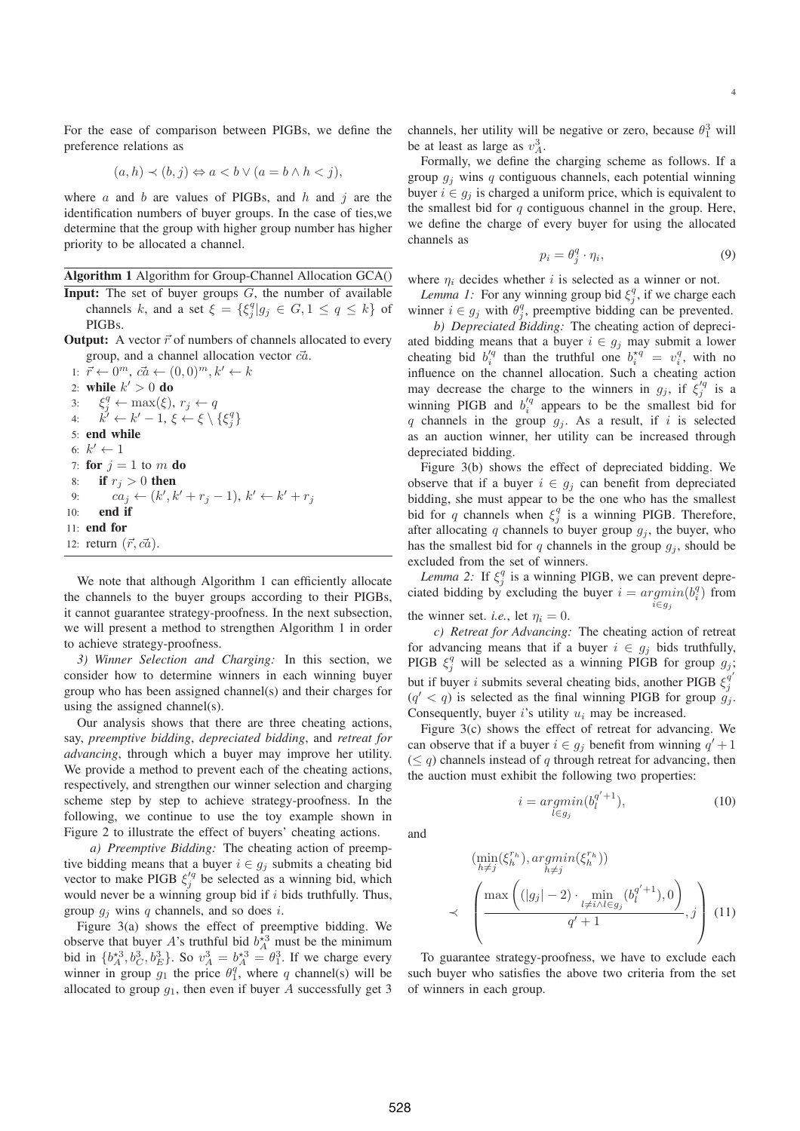For the ease of comparison between PIGBs, we define the preference relations as

$$
(a,h) \prec (b,j) \Leftrightarrow a < b \lor (a = b \land h < j),
$$

where  $a$  and  $b$  are values of PIGBs, and  $h$  and  $j$  are the identification numbers of buyer groups. In the case of ties,we determine that the group with higher group number has higher priority to be allocated a channel.

Algorithm 1 Algorithm for Group-Channel Allocation GCA()

- **Input:** The set of buyer groups  $G$ , the number of available channels k, and a set  $\xi = {\xi_j^q | g_j \in G, 1 \le q \le k}$  of PIGBs.
- **Output:** A vector  $\vec{r}$  of numbers of channels allocated to every group, and a channel allocation vector  $c\vec{a}$ .

1:  $\vec{r} \leftarrow 0^m$ ,  $c\vec{a} \leftarrow (0,0)^m$ ,  $k' \leftarrow k$ 2: while  $k' > 0$  do 3:  $\xi_j^q \leftarrow \max(\xi), r_j \leftarrow q$ 4:  $k' \leftarrow k' - 1, \xi \leftarrow \xi \setminus {\xi_j^q}$ 5: end while 6:  $k' \leftarrow 1$ 7: for  $j = 1$  to m do 8: if  $r_i > 0$  then 9:  $ca_j \leftarrow (k', k' + r_j - 1), k' \leftarrow k' + r_j$ 10: end if 11: end for 12: return  $(\vec{r}, \vec{ca})$ .

We note that although Algorithm 1 can efficiently allocate the channels to the buyer groups according to their PIGBs, it cannot guarantee strategy-proofness. In the next subsection, we will present a method to strengthen Algorithm 1 in order to achieve strategy-proofness.

*3) Winner Selection and Charging:* In this section, we consider how to determine winners in each winning buyer group who has been assigned channel(s) and their charges for using the assigned channel(s).

Our analysis shows that there are three cheating actions, say, *preemptive bidding*, *depreciated bidding*, and *retreat for advancing*, through which a buyer may improve her utility. We provide a method to prevent each of the cheating actions, respectively, and strengthen our winner selection and charging scheme step by step to achieve strategy-proofness. In the following, we continue to use the toy example shown in Figure 2 to illustrate the effect of buyers' cheating actions.

*a) Preemptive Bidding:* The cheating action of preemptive bidding means that a buyer  $i \in g_j$  submits a cheating bid vector to make PIGB  $\xi_j^{\prime q}$  be selected as a winning bid, which would never be a winning group bid if  $i$  bids truthfully. Thus, group  $g_i$  wins q channels, and so does i.

Figure 3(a) shows the effect of preemptive bidding. We observe that buyer A's truthful bid  $b_A^{*3}$  must be the minimum bid in  $\{b_A^{*3}, b_C^3, b_E^3\}$ . So  $v_A^3 = b_A^{*3} = \theta_1^3$ . If we charge every winner in group  $g_1$  the price  $\theta_1^q$ , where q channel(s) will be allocated to group  $g_1$ , then even if buyer A successfully get 3 channels, her utility will be negative or zero, because  $\theta_1^3$  will be at least as large as  $v_A^3$ .

Formally, we define the charging scheme as follows. If a group  $g_i$  wins q contiguous channels, each potential winning buyer  $i \in g_i$  is charged a uniform price, which is equivalent to the smallest bid for  $q$  contiguous channel in the group. Here, we define the charge of every buyer for using the allocated channels as

$$
p_i = \theta_j^q \cdot \eta_i,\tag{9}
$$

where  $\eta_i$  decides whether i is selected as a winner or not.

*Lemma 1:* For any winning group bid  $\xi_j^q$ , if we charge each winner  $i \in g_j$  with  $\theta_j^q$ , preemptive bidding can be prevented.

*b) Depreciated Bidding:* The cheating action of depreciated bidding means that a buyer  $i \in g_j$  may submit a lower cheating bid  $b_i^{\prime q}$  than the truthful one  $b_i^{\star q} = v_i^q$ , with no influence on the channel allocation. Such a cheating action may decrease the charge to the winners in  $g_j$ , if  $\xi_j^{'q}$  is a winning PIGB and  $b_i^{\prime q}$  appears to be the smallest bid for q channels in the group  $q_i$ . As a result, if i is selected as an auction winner, her utility can be increased through depreciated bidding.

Figure 3(b) shows the effect of depreciated bidding. We observe that if a buyer  $i \in g_j$  can benefit from depreciated bidding, she must appear to be the one who has the smallest bid for q channels when  $\xi_j^q$  is a winning PIGB. Therefore, after allocating q channels to buyer group  $g_j$ , the buyer, who has the smallest bid for  $q$  channels in the group  $g_j$ , should be excluded from the set of winners.

*Lemma 2:* If  $\xi_j^q$  is a winning PIGB, we can prevent depreciated bidding by excluding the buyer  $i = argmin(b_i^q)$  from i∈g<sup>j</sup> the winner set. *i.e.*, let  $\eta_i = 0$ .

*c) Retreat for Advancing:* The cheating action of retreat for advancing means that if a buyer  $i \in g_i$  bids truthfully, PIGB  $\xi_j^q$  will be selected as a winning PIGB for group  $g_j$ ; but if buyer *i* submits several cheating bids, another PIGB  $\xi_i^{q'}$ j  $(q' < q)$  is selected as the final winning PIGB for group  $g_j$ . Consequently, buyer i's utility  $u_i$  may be increased.

Figure 3(c) shows the effect of retreat for advancing. We can observe that if a buyer  $i \in g_j$  benefit from winning  $q' + 1$  $(\leq q)$  channels instead of q through retreat for advancing, then the auction must exhibit the following two properties:

 $i = \operatornamewithlimits{argmin}_{l \in g_j} (b_l^{q' + 1})$ 

and

≺

$$
\left(\frac{\min_{h \neq j}(\xi_h^{r_h}), \operatorname{argmin}_{h \neq j}(\xi_h^{r_h}))}{\left(\frac{\max\left(\left(|g_j| - 2\right) \cdot \min_{l \neq i \land l \in g_j} (b_l^{q'+1}), 0\right)}{q'+1}, j\right)} \right)
$$
(11)

 $(10)$ 

To guarantee strategy-proofness, we have to exclude each such buyer who satisfies the above two criteria from the set of winners in each group.